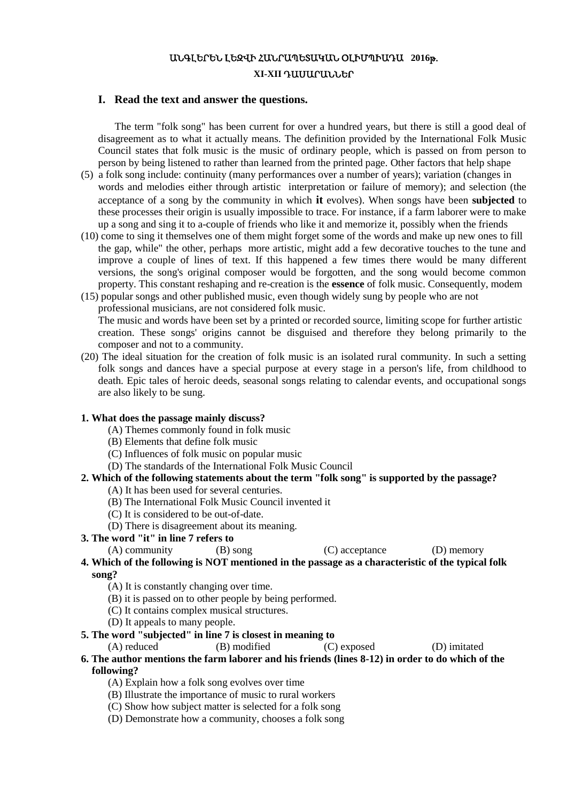# ԱՆԳԼԵՐԵՆ ԼԵԶՎԻ ՀԱՆՐԱՊԵՏԱԿԱՆ ՕԼԻՄՊԻԱԴԱ **2016**թ. **XI-XII** ԴԱՍԱՐԱՆՆԵՐ

### **I. Read the text and answer the questions.**

The term "folk song" has been current for over a hundred years, but there is still a good deal of disagreement as to what it actually means. The definition provided by the International Folk Music Council states that folk music is the music of ordinary people, which is passed on from person to person by being listened to rather than learned from the printed page. Other factors that help shape

- (5) a folk song include: continuity (many performances over a number of years); variation (changes in words and melodies either through artistic interpretation or failure of memory); and selection (the acceptance of a song by the community in which **it** evolves). When songs have been **subjected** to these processes their origin is usually impossible to trace. For instance, if a farm laborer were to make up a song and sing it to a-couple of friends who like it and memorize it, possibly when the friends
- (10) come to sing it themselves one of them might forget some of the words and make up new ones to fill the gap, while" the other, perhaps more artistic, might add a few decorative touches to the tune and improve a couple of lines of text. If this happened a few times there would be many different versions, the song's original composer would be forgotten, and the song would become common property. This constant reshaping and re-creation is the **essence** of folk music. Consequently, modem
- (15) popular songs and other published music, even though widely sung by people who are not professional musicians, are not considered folk music. The music and words have been set by a printed or recorded source, limiting scope for further artistic creation. These songs' origins cannot be disguised and therefore they belong primarily to the composer and not to a community.
- (20) The ideal situation for the creation of folk music is an isolated rural community. In such a setting folk songs and dances have a special purpose at every stage in a person's life, from childhood to death. Epic tales of heroic deeds, seasonal songs relating to calendar events, and occupational songs are also likely to be sung.

### **1. What does the passage mainly discuss?**

- (A) Themes commonly found in folk music
- (B) Elements that define folk music
- (C) Influences of folk music on popular music
- (D) The standards of the International Folk Music Council

### **2. Which of the following statements about the term "folk song" is supported by the passage?**

- (A) It has been used for several centuries.
- (B) The International Folk Music Council invented it
- (C) It is considered to be out-of-date.
- (D) There is disagreement about its meaning.
- **3. The word "it" in line 7 refers to**

(A) community (B) song (C) acceptance (D) memory

- **4. Which of the following is NOT mentioned in the passage as a characteristic of the typical folk song?** 
	- (A) It is constantly changing over time.
	- (B) it is passed on to other people by being performed.
	- (C) It contains complex musical structures.
	- (D) It appeals to many people.
- **5. The word "subjected" in line 7 is closest in meaning to**
- (A) reduced (B) modified (C) exposed (D) imitated **6. The author mentions the farm laborer and his friends (lines 8-12) in order to do which of the following?**
	- (A) Explain how a folk song evolves over time
	- (B) Illustrate the importance of music to rural workers
	- (C) Show how subject matter is selected for a folk song
	- (D) Demonstrate how a community, chooses a folk song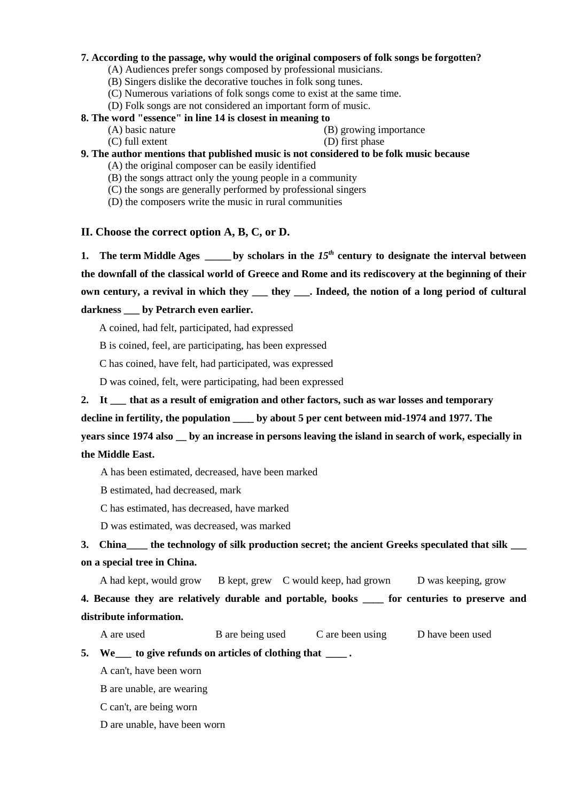## **7. According to the passage, why would the original composers of folk songs be forgotten?**

- (A) Audiences prefer songs composed by professional musicians.
- (B) Singers dislike the decorative touches in folk song tunes.
- (C) Numerous variations of folk songs come to exist at the same time.
- (D) Folk songs are not considered an important form of music.

**8. The word "essence" in line 14 is closest in meaning to**

- (A) basic nature (B) growing importance
- (C) full extent (D) first phase
- 
- **9. The author mentions that published music is not considered to be folk music because** 
	- (A) the original composer can be easily identified
	- (B) the songs attract only the young people in a community
	- (C) the songs are generally performed by professional singers
	- (D) the composers write the music in rural communities

**II. Choose the correct option A, B, C, or D.**

**1.** The term Middle Ages by scholars in the  $15<sup>th</sup>$  century to designate the interval between **the downfall of the classical world of Greece and Rome and its rediscovery at the beginning of their own century, a revival in which they \_\_\_ they \_\_\_. Indeed, the notion of a long period of cultural** 

# **darkness \_\_\_ by Petrarch even earlier.**

A coined, had felt, participated, had expressed

B is coined, feel, are participating, has been expressed

C has coined, have felt, had participated, was expressed

D was coined, felt, were participating, had been expressed

**2. It \_\_\_ that as a result of emigration and other factors, such as war losses and temporary** 

**decline in fertility, the population \_\_\_\_ by about 5 per cent between mid-1974 and 1977. The**

**years since 1974 also \_\_ by an increase in persons leaving the island in search of work, especially in the Middle East.**

A has been estimated, decreased, have been marked

B estimated, had decreased, mark

- C has estimated, has decreased, have marked
- D was estimated, was decreased, was marked

# **3. China\_\_\_\_ the technology of silk production secret; the ancient Greeks speculated that silk \_\_\_ on a special tree in China.**

A had kept, would grow B kept, grew C would keep, had grown D was keeping, grow **4. Because they are relatively durable and portable, books \_\_\_\_ for centuries to preserve and distribute information.**

| A are used | B are being used | C are been using | D have been used |
|------------|------------------|------------------|------------------|

**5. We\_\_\_ to give refunds on articles of clothing that \_\_\_\_ .**

A can't, have been worn

B are unable, are wearing

C can't, are being worn

D are unable, have been worn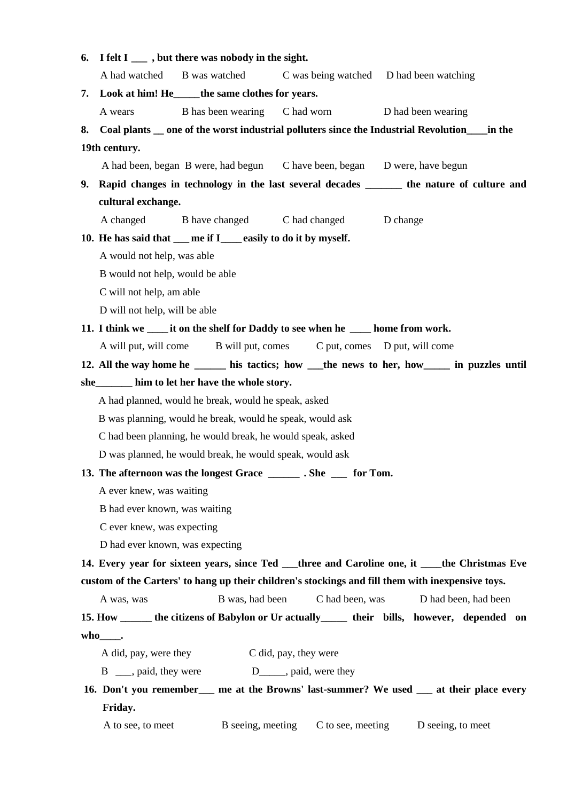|                                                                                               | 6. I felt $I_{\text{max}}$ , but there was nobody in the sight.                                                     |  |  |  |  |
|-----------------------------------------------------------------------------------------------|---------------------------------------------------------------------------------------------------------------------|--|--|--|--|
|                                                                                               | A had watched B was watched<br>C was being watched D had been watching                                              |  |  |  |  |
|                                                                                               | 7. Look at him! He_____ the same clothes for years.                                                                 |  |  |  |  |
|                                                                                               | B has been wearing C had worn<br>D had been wearing<br>A wears                                                      |  |  |  |  |
| 8.                                                                                            | Coal plants <sub>—</sub> one of the worst industrial polluters since the Industrial Revolution <sub>——</sub> in the |  |  |  |  |
|                                                                                               | 19th century.                                                                                                       |  |  |  |  |
|                                                                                               | A had been, began B were, had begun C have been, began D were, have begun                                           |  |  |  |  |
|                                                                                               | 9. Rapid changes in technology in the last several decades ______ the nature of culture and                         |  |  |  |  |
|                                                                                               | cultural exchange.                                                                                                  |  |  |  |  |
|                                                                                               | B have changed C had changed<br>A changed<br>D change                                                               |  |  |  |  |
|                                                                                               | 10. He has said that __ me if I___ easily to do it by myself.                                                       |  |  |  |  |
|                                                                                               | A would not help, was able                                                                                          |  |  |  |  |
|                                                                                               | B would not help, would be able                                                                                     |  |  |  |  |
|                                                                                               | C will not help, am able                                                                                            |  |  |  |  |
|                                                                                               | D will not help, will be able                                                                                       |  |  |  |  |
|                                                                                               | 11. I think we ______ it on the shelf for Daddy to see when he ______ home from work.                               |  |  |  |  |
|                                                                                               | A will put, will come B will put, comes C put, comes D put, will come                                               |  |  |  |  |
|                                                                                               | 12. All the way home he _______ his tactics; how ____the news to her, how_______ in puzzles until                   |  |  |  |  |
|                                                                                               | she________ him to let her have the whole story.                                                                    |  |  |  |  |
|                                                                                               | A had planned, would he break, would he speak, asked                                                                |  |  |  |  |
|                                                                                               | B was planning, would he break, would he speak, would ask                                                           |  |  |  |  |
|                                                                                               | C had been planning, he would break, he would speak, asked                                                          |  |  |  |  |
|                                                                                               | D was planned, he would break, he would speak, would ask                                                            |  |  |  |  |
|                                                                                               | 13. The afternoon was the longest Grace<br>for Tom.<br>$\frac{1}{\sqrt{1-\frac{1}{2}} \cdot \text{She}}$            |  |  |  |  |
|                                                                                               | A ever knew, was waiting                                                                                            |  |  |  |  |
|                                                                                               | B had ever known, was waiting                                                                                       |  |  |  |  |
|                                                                                               | C ever knew, was expecting                                                                                          |  |  |  |  |
|                                                                                               | D had ever known, was expecting                                                                                     |  |  |  |  |
| 14. Every year for sixteen years, since Ted __three and Caroline one, it ___the Christmas Eve |                                                                                                                     |  |  |  |  |
|                                                                                               | custom of the Carters' to hang up their children's stockings and fill them with inexpensive toys.                   |  |  |  |  |
|                                                                                               | B was, had been<br>C had been, was<br>A was, was<br>D had been, had been                                            |  |  |  |  |
|                                                                                               | 15. How ______ the citizens of Babylon or Ur actually ______ their bills, however, depended on                      |  |  |  |  |
|                                                                                               | $who$ _______.                                                                                                      |  |  |  |  |
|                                                                                               | C did, pay, they were<br>A did, pay, were they                                                                      |  |  |  |  |
|                                                                                               | B ___, paid, they were D____, paid, were they                                                                       |  |  |  |  |
|                                                                                               | 16. Don't you remember __ me at the Browns' last-summer? We used __ at their place every                            |  |  |  |  |
|                                                                                               | Friday.                                                                                                             |  |  |  |  |
|                                                                                               | B seeing, meeting C to see, meeting<br>D seeing, to meet<br>A to see, to meet                                       |  |  |  |  |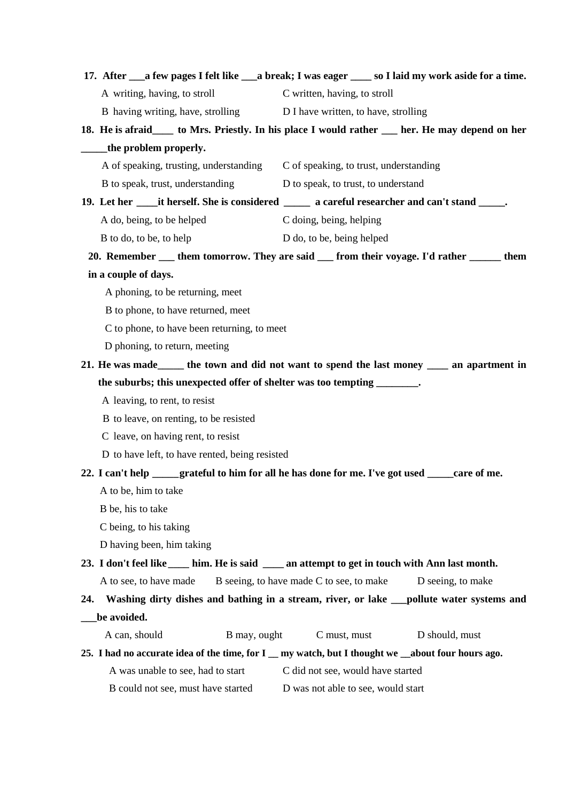|                                                                          | 17. After <u>a</u> few pages I felt like <u>a</u> break; I was eager so I laid my work aside for a time. |
|--------------------------------------------------------------------------|----------------------------------------------------------------------------------------------------------|
| A writing, having, to stroll                                             | C written, having, to stroll                                                                             |
| B having writing, have, strolling                                        | D I have written, to have, strolling                                                                     |
|                                                                          | 18. He is afraid______ to Mrs. Priestly. In his place I would rather _____ her. He may depend on her     |
| the problem properly.                                                    |                                                                                                          |
| A of speaking, trusting, understanding                                   | C of speaking, to trust, understanding                                                                   |
| B to speak, trust, understanding                                         | D to speak, to trust, to understand                                                                      |
|                                                                          | 19. Let her _____it herself. She is considered ________ a careful researcher and can't stand ______.     |
| A do, being, to be helped                                                | C doing, being, helping                                                                                  |
| B to do, to be, to help                                                  | D do, to be, being helped                                                                                |
|                                                                          | 20. Remember ____ them tomorrow. They are said ____ from their voyage. I'd rather _______ them           |
| in a couple of days.                                                     |                                                                                                          |
| A phoning, to be returning, meet                                         |                                                                                                          |
| B to phone, to have returned, meet                                       |                                                                                                          |
| C to phone, to have been returning, to meet                              |                                                                                                          |
| D phoning, to return, meeting                                            |                                                                                                          |
|                                                                          | 21. He was made_____ the town and did not want to spend the last money _____ an apartment in             |
| the suburbs; this unexpected offer of shelter was too tempting ________. |                                                                                                          |
| A leaving, to rent, to resist                                            |                                                                                                          |
| B to leave, on renting, to be resisted                                   |                                                                                                          |
| C leave, on having rent, to resist                                       |                                                                                                          |
| D to have left, to have rented, being resisted                           |                                                                                                          |
|                                                                          | 22. I can't help ____grateful to him for all he has done for me. I've got used ____care of me.           |
| A to be, him to take                                                     |                                                                                                          |
| B be, his to take                                                        |                                                                                                          |
| C being, to his taking                                                   |                                                                                                          |
| D having been, him taking                                                |                                                                                                          |
|                                                                          | 23. I don't feel like _____ him. He is said _____ an attempt to get in touch with Ann last month.        |
| A to see, to have made                                                   | B seeing, to have made C to see, to make<br>D seeing, to make                                            |
| 24.                                                                      | Washing dirty dishes and bathing in a stream, river, or lake _pollute water systems and                  |
| be avoided.                                                              |                                                                                                          |
| A can, should<br>B may, ought                                            | C must, must<br>D should, must                                                                           |
|                                                                          | 25. I had no accurate idea of the time, for I my watch, but I thought we not four hours ago.             |
| A was unable to see, had to start                                        | C did not see, would have started                                                                        |
| B could not see, must have started                                       | D was not able to see, would start                                                                       |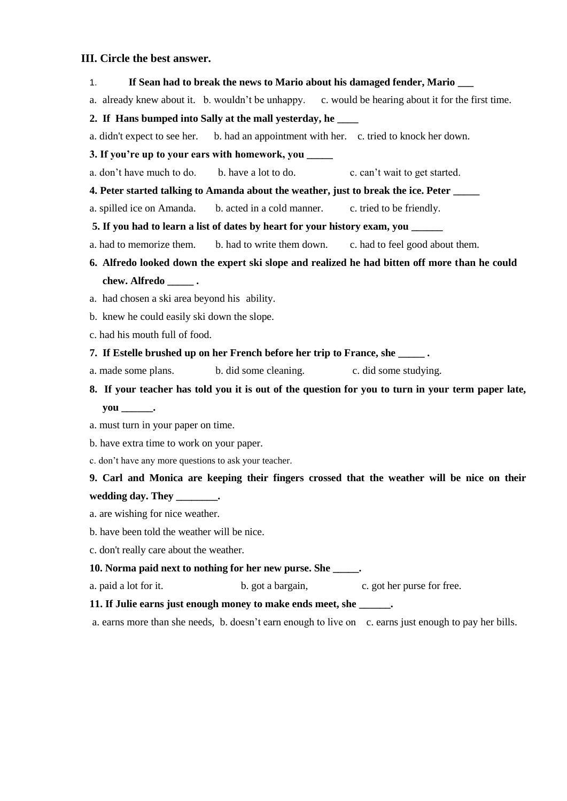| III. Circle the best answer.                          |                                                                                          |                                                                                                    |  |
|-------------------------------------------------------|------------------------------------------------------------------------------------------|----------------------------------------------------------------------------------------------------|--|
| 1.                                                    |                                                                                          | If Sean had to break the news to Mario about his damaged fender, Mario __________                  |  |
|                                                       |                                                                                          | a. already knew about it. b. wouldn't be unhappy. c. would be hearing about it for the first time. |  |
|                                                       | 2. If Hans bumped into Sally at the mall yesterday, he ____                              |                                                                                                    |  |
|                                                       | a. didn't expect to see her. b. had an appointment with her. c. tried to knock her down. |                                                                                                    |  |
|                                                       | 3. If you're up to your ears with homework, you ____                                     |                                                                                                    |  |
| a. don't have much to do.                             | b. have a lot to do.                                                                     | c. can't wait to get started.                                                                      |  |
|                                                       |                                                                                          | 4. Peter started talking to Amanda about the weather, just to break the ice. Peter _____           |  |
|                                                       | a. spilled ice on Amanda. b. acted in a cold manner.                                     | c. tried to be friendly.                                                                           |  |
|                                                       |                                                                                          | 5. If you had to learn a list of dates by heart for your history exam, you _____                   |  |
| a. had to memorize them.                              | b. had to write them down.                                                               | c. had to feel good about them.                                                                    |  |
|                                                       |                                                                                          | 6. Alfredo looked down the expert ski slope and realized he had bitten off more than he could      |  |
| chew. Alfredo _______.                                |                                                                                          |                                                                                                    |  |
| a. had chosen a ski area beyond his ability.          |                                                                                          |                                                                                                    |  |
| b. knew he could easily ski down the slope.           |                                                                                          |                                                                                                    |  |
| c. had his mouth full of food.                        |                                                                                          |                                                                                                    |  |
|                                                       | 7. If Estelle brushed up on her French before her trip to France, she _____.             |                                                                                                    |  |
| a. made some plans.                                   | b. did some cleaning.                                                                    | c. did some studying.                                                                              |  |
|                                                       |                                                                                          | 8. If your teacher has told you it is out of the question for you to turn in your term paper late, |  |
|                                                       |                                                                                          |                                                                                                    |  |
| a. must turn in your paper on time.                   |                                                                                          |                                                                                                    |  |
| b. have extra time to work on your paper.             |                                                                                          |                                                                                                    |  |
| c. don't have any more questions to ask your teacher. |                                                                                          |                                                                                                    |  |

**9. Carl and Monica are keeping their fingers crossed that the weather will be nice on their wedding day. They \_\_\_\_\_\_\_\_.**

a. are wishing for nice weather.

b. have been told the weather will be nice.

c. don't really care about the weather.

# **10. Norma paid next to nothing for her new purse. She \_\_\_\_\_.**

a. paid a lot for it. b. got a bargain, c. got her purse for free.

# **11. If Julie earns just enough money to make ends meet, she \_\_\_\_\_\_.**

a. earns more than she needs, b. doesn't earn enough to live on c. earns just enough to pay her bills.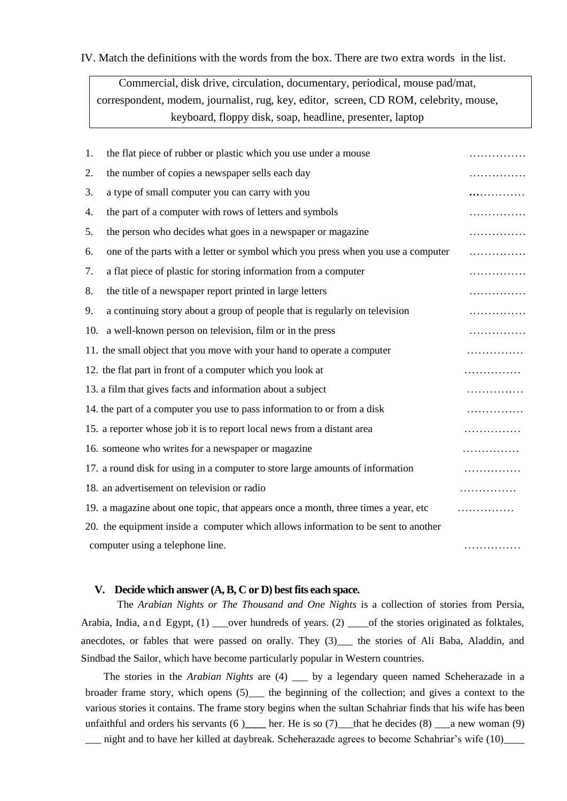### IV. Match the definitions with the words from the box. There are two extra words in the list.

Commercial, disk drive, circulation, documentary, periodical, mouse pad/mat, correspondent, modem, journalist, rug, key, editor, screen, CD ROM, celebrity, mouse, keyboard, floppy disk, soap, headline, presenter, laptop

| 1.                                                                                 | the flat piece of rubber or plastic which you use under a mouse                    | . |
|------------------------------------------------------------------------------------|------------------------------------------------------------------------------------|---|
| 2.                                                                                 | the number of copies a newspaper sells each day                                    | . |
| 3.                                                                                 | a type of small computer you can carry with you                                    |   |
| 4.                                                                                 | the part of a computer with rows of letters and symbols                            | . |
| 5.                                                                                 | the person who decides what goes in a newspaper or magazine                        | . |
| 6.                                                                                 | one of the parts with a letter or symbol which you press when you use a computer   | . |
| 7.                                                                                 | a flat piece of plastic for storing information from a computer                    | . |
| 8.                                                                                 | the title of a newspaper report printed in large letters                           | . |
| 9.                                                                                 | a continuing story about a group of people that is regularly on television         | . |
| 10.                                                                                | a well-known person on television, film or in the press                            | . |
|                                                                                    | 11. the small object that you move with your hand to operate a computer            | . |
|                                                                                    | 12. the flat part in front of a computer which you look at                         | . |
|                                                                                    | 13. a film that gives facts and information about a subject                        | . |
|                                                                                    | 14. the part of a computer you use to pass information to or from a disk           | . |
|                                                                                    | 15. a reporter whose job it is to report local news from a distant area            | . |
|                                                                                    | 16. someone who writes for a newspaper or magazine                                 | . |
|                                                                                    | 17. a round disk for using in a computer to store large amounts of information     | . |
|                                                                                    | 18. an advertisement on television or radio                                        | . |
|                                                                                    | 19. a magazine about one topic, that appears once a month, three times a year, etc |   |
| 20. the equipment inside a computer which allows information to be sent to another |                                                                                    |   |
|                                                                                    | computer using a telephone line.                                                   | . |

### **V. Decide which answer (A, B, C or D) best fits each space.**

The *Arabian Nights or The Thousand and One Nights* is a collection of stories from Persia, Arabia, India, and Egypt, (1) \_\_\_over hundreds of years. (2) \_\_\_\_of the stories originated as folktales, anecdotes, or fables that were passed on orally. They (3)\_\_\_ the stories of Ali Baba, Aladdin, and Sindbad the Sailor, which have become particularly popular in Western countries.

 The stories in the *Arabian Nights* are (4) \_\_\_ by a legendary queen named Scheherazade in a broader frame story, which opens (5)\_\_\_ the beginning of the collection; and gives a context to the various stories it contains. The frame story begins when the sultan Schahriar finds that his wife has been unfaithful and orders his servants  $(6)$  her. He is so  $(7)$  that he decides  $(8)$  a new woman  $(9)$ \_\_\_ night and to have her killed at daybreak. Scheherazade agrees to become Schahriar's wife (10)\_\_\_\_